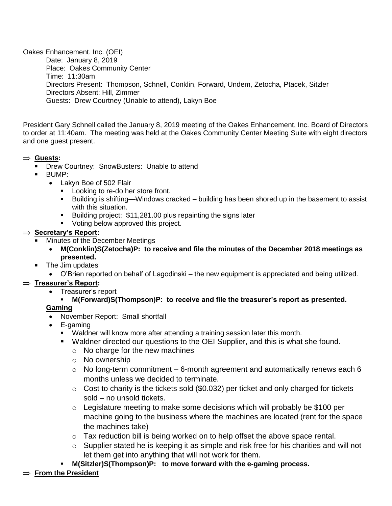Oakes Enhancement. Inc. (OEI) Date: January 8, 2019 Place: Oakes Community Center Time: 11:30am Directors Present: Thompson, Schnell, Conklin, Forward, Undem, Zetocha, Ptacek, Sitzler Directors Absent: Hill, Zimmer Guests: Drew Courtney (Unable to attend), Lakyn Boe 

President Gary Schnell called the January 8, 2019 meeting of the Oakes Enhancement, Inc. Board of Directors to order at 11:40am. The meeting was held at the Oakes Community Center Meeting Suite with eight directors and one guest present.

#### **Guests:**

- **Drew Courtney: SnowBusters: Unable to attend**
- BUMP:
	- Lakyn Boe of 502 Flair
		- **Looking to re-do her store front.**
		- Building is shifting—Windows cracked building has been shored up in the basement to assist with this situation.
		- Building project: \$11,281.00 plus repainting the signs later
		- **Voting below approved this project.**

### ⇒ **Secretary's Report:**

- Minutes of the December Meetings
	- **M(Conklin)S(Zetocha)P: to receive and file the minutes of the December 2018 meetings as presented.**
- The Jim updates
	- O'Brien reported on behalf of Lagodinski the new equipment is appreciated and being utilized.

### **Treasurer's Report:**

- Treasurer's report
	- **M(Forward)S(Thompson)P: to receive and file the treasurer's report as presented.**

### **Gaming**

- November Report: Small shortfall
- E-gaming
	- Waldner will know more after attending a training session later this month.
	- Waldner directed our questions to the OEI Supplier, and this is what she found.
		- $\circ$  No charge for the new machines
		- o No ownership
		- $\circ$  No long-term commitment 6-month agreement and automatically renews each 6 months unless we decided to terminate.
		- $\circ$  Cost to charity is the tickets sold (\$0.032) per ticket and only charged for tickets sold – no unsold tickets.
		- o Legislature meeting to make some decisions which will probably be \$100 per machine going to the business where the machines are located (rent for the space the machines take)
		- o Tax reduction bill is being worked on to help offset the above space rental.
		- o Supplier stated he is keeping it as simple and risk free for his charities and will not let them get into anything that will not work for them.
	- **M(Sitzler)S(Thompson)P: to move forward with the e-gaming process.**

### **From the President**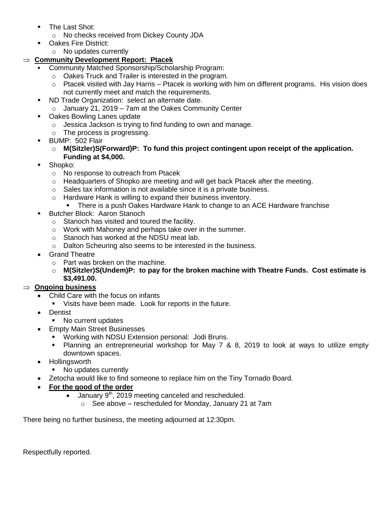- **The Last Shot:** 
	- o No checks received from Dickey County JDA
- **Dakes Fire District:** 
	- o No updates currently

# **Community Development Report: Ptacek**

- Community Matched Sponsorship/Scholarship Program:
	- o Oakes Truck and Trailer is interested in the program.
	- $\circ$  Ptacek visited with Jay Harris Ptacek is working with him on different programs. His vision does not currently meet and match the requirements.
- **ND Trade Organization: select an alternate date.** 
	- o January 21, 2019 7am at the Oakes Community Center
- **Oakes Bowling Lanes update** 
	- o Jessica Jackson is trying to find funding to own and manage.
	- o The process is progressing.
- BUMP: 502 Flair
	- o **M(Sitzler)S(Forward)P: To fund this project contingent upon receipt of the application. Funding at \$4,000.**
- Shopko:
	- o No response to outreach from Ptacek
	- $\circ$  Headquarters of Shopko are meeting and will get back Ptacek after the meeting.
	- o Sales tax information is not available since it is a private business.
	- o Hardware Hank is willing to expand their business inventory.
		- There is a push Oakes Hardware Hank to change to an ACE Hardware franchise
- **Butcher Block: Aaron Stanoch** 
	- o Stanoch has visited and toured the facility.
	- o Work with Mahoney and perhaps take over in the summer.
	- o Stanoch has worked at the NDSU meat lab.
	- o Dalton Scheuring also seems to be interested in the business.
- Grand Theatre
	- o Part was broken on the machine.
	- o **M(Sitzler)S(Undem)P: to pay for the broken machine with Theatre Funds. Cost estimate is \$3,491.00.**

## **Ongoing business**

- Child Care with the focus on infants
- Visits have been made. Look for reports in the future.
- Dentist
	- No current updates
- Empty Main Street Businesses
	- **Working with NDSU Extension personal: Jodi Bruns.**
	- Planning an entrepreneurial workshop for May 7 & 8, 2019 to look at ways to utilize empty downtown spaces.
- Hollingsworth
	- No updates currently
- Zetocha would like to find someone to replace him on the Tiny Tornado Board.
- **For the good of the order**
	- $\bullet$  January 9<sup>th</sup>, 2019 meeting canceled and rescheduled.
		- $\circ$  See above rescheduled for Monday, January 21 at 7am

There being no further business, the meeting adjourned at 12:30pm.

Respectfully reported.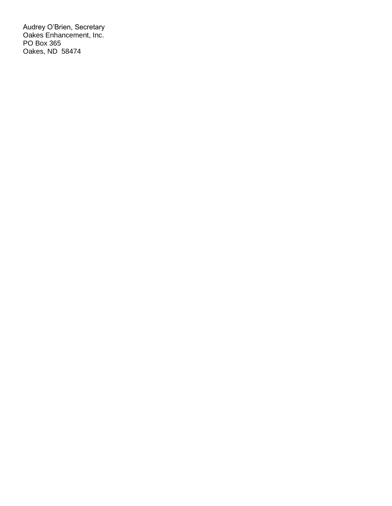Audrey O'Brien, Secretary Oakes Enhancement, Inc. PO Box 365 Oakes, ND 58474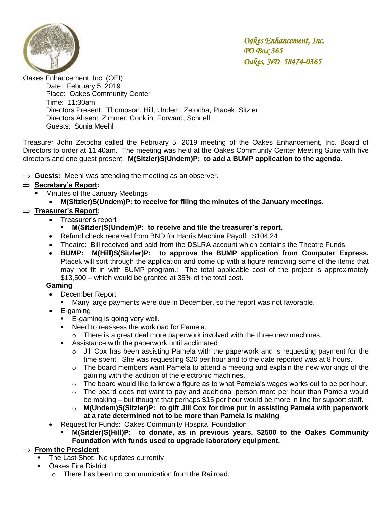

Oakes Enhancement. Inc. (OEI)

Date: February 5, 2019 Place: Oakes Community Center Time: 11:30am Directors Present: Thompson, Hill, Undem, Zetocha, Ptacek, Sitzler Directors Absent: Zimmer, Conklin, Forward, Schnell Guests: Sonia Meehl

Treasurer John Zetocha called the February 5, 2019 meeting of the Oakes Enhancement, Inc. Board of Directors to order at 11:40am. The meeting was held at the Oakes Community Center Meeting Suite with five directors and one guest present. **M(Sitzler)S(Undem)P: to add a BUMP application to the agenda.**

 $\Rightarrow$  Guests: Meehl was attending the meeting as an observer.

### **Secretary's Report:**

- Minutes of the January Meetings
	- **M(Sitzler)S(Undem)P: to receive for filing the minutes of the January meetings.**

### **Treasurer's Report:**

- Treasurer's report
	- **M(Sitzler)S(Undem)P: to receive and file the treasurer's report.**
- Refund check received from BND for Harris Machine Payoff: \$104.24
- Theatre: Bill received and paid from the DSLRA account which contains the Theatre Funds
- **BUMP: M(Hill)S(Sitzler)P: to approve the BUMP application from Computer Express.** Ptacek will sort through the application and come up with a figure removing some of the items that may not fit in with BUMP program.: The total applicable cost of the project is approximately \$13,500 – which would be granted at 35% of the total cost.

#### **Gaming**

- December Report
	- **Many large payments were due in December, so the report was not favorable.**
- E-gaming
	- E-gaming is going very well.
	- **Need to reassess the workload for Pamela.** 
		- $\circ$  There is a great deal more paperwork involved with the three new machines.
	- **Assistance with the paperwork until acclimated** 
		- o Jill Cox has been assisting Pamela with the paperwork and is requesting payment for the time spent. She was requesting \$20 per hour and to the date reported was at 8 hours.
		- $\circ$  The board members want Pamela to attend a meeting and explain the new workings of the gaming with the addition of the electronic machines.
		- o The board would like to know a figure as to what Pamela's wages works out to be per hour.
		- o The board does not want to pay and additional person more per hour than Pamela would be making – but thought that perhaps \$15 per hour would be more in line for support staff.
		- o **M(Undem)S(Sitzler)P: to gift Jill Cox for time put in assisting Pamela with paperwork at a rate determined not to be more than Pamela is making**.
- Request for Funds: Oakes Community Hospital Foundation
	- **M(Sitzler)S(Hill)P: to donate, as in previous years, \$2500 to the Oakes Community Foundation with funds used to upgrade laboratory equipment.**

### $\Rightarrow$  **From the President**

- The Last Shot: No updates currently
- **Dakes Fire District:** 
	- o There has been no communication from the Railroad.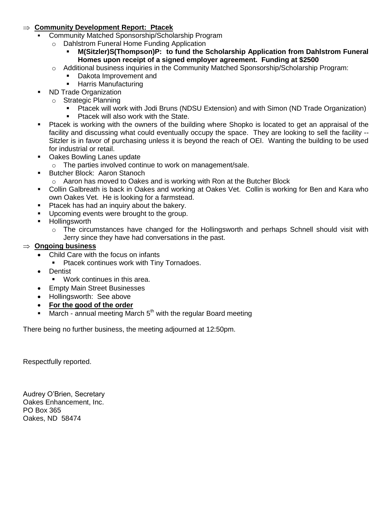#### **Community Development Report: Ptacek**

- Community Matched Sponsorship/Scholarship Program
	- o Dahlstrom Funeral Home Funding Application
		- **M(Sitzler)S(Thompson)P: to fund the Scholarship Application from Dahlstrom Funeral Homes upon receipt of a signed employer agreement. Funding at \$2500**
	- $\circ$  Additional business inquiries in the Community Matched Sponsorship/Scholarship Program:
		- Dakota Improvement and
		- Harris Manufacturing
- ND Trade Organization
	- o Strategic Planning
		- Ptacek will work with Jodi Bruns (NDSU Extension) and with Simon (ND Trade Organization)
		- **Ptacek will also work with the State.**
- Ptacek is working with the owners of the building where Shopko is located to get an appraisal of the facility and discussing what could eventually occupy the space. They are looking to sell the facility -- Sitzler is in favor of purchasing unless it is beyond the reach of OEI. Wanting the building to be used for industrial or retail.
- **Dakes Bowling Lanes update** 
	- o The parties involved continue to work on management/sale.
- **Butcher Block: Aaron Stanoch** 
	- o Aaron has moved to Oakes and is working with Ron at the Butcher Block
- Collin Galbreath is back in Oakes and working at Oakes Vet. Collin is working for Ben and Kara who own Oakes Vet. He is looking for a farmstead.
- **Ptacek has had an inquiry about the bakery.**
- **Upcoming events were brought to the group.**
- **Hollingsworth** 
	- $\circ$  The circumstances have changed for the Hollingsworth and perhaps Schnell should visit with Jerry since they have had conversations in the past.

#### **Ongoing business**

- Child Care with the focus on infants
	- Ptacek continues work with Tiny Tornadoes.
- Dentist
	- Work continues in this area.
- **Empty Main Street Businesses**
- Hollingsworth: See above
- **For the good of the order**
- March annual meeting March  $5<sup>th</sup>$  with the regular Board meeting

There being no further business, the meeting adjourned at 12:50pm.

Respectfully reported.

Audrey O'Brien, Secretary Oakes Enhancement, Inc. PO Box 365 Oakes, ND 58474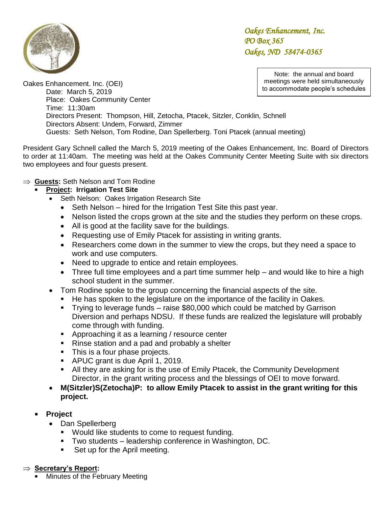

> Note: the annual and board meetings were held simultaneously to accommodate people's schedules

Oakes Enhancement. Inc. (OEI) Date: March 5, 2019 Place: Oakes Community Center Time: 11:30am Directors Present: Thompson, Hill, Zetocha, Ptacek, Sitzler, Conklin, Schnell Directors Absent: Undem, Forward, Zimmer Guests: Seth Nelson, Tom Rodine, Dan Spellerberg. Toni Ptacek (annual meeting)

President Gary Schnell called the March 5, 2019 meeting of the Oakes Enhancement, Inc. Board of Directors to order at 11:40am. The meeting was held at the Oakes Community Center Meeting Suite with six directors two employees and four guests present.

### **Guests:** Seth Nelson and Tom Rodine

### **Project: Irrigation Test Site**

- Seth Nelson:Oakes Irrigation Research Site
	- Seth Nelson hired for the Irrigation Test Site this past year.
	- Nelson listed the crops grown at the site and the studies they perform on these crops.
	- All is good at the facility save for the buildings.
	- Requesting use of Emily Ptacek for assisting in writing grants.
	- Researchers come down in the summer to view the crops, but they need a space to work and use computers.
	- Need to upgrade to entice and retain employees.
	- Three full time employees and a part time summer help and would like to hire a high school student in the summer.
- Tom Rodine spoke to the group concerning the financial aspects of the site.
	- He has spoken to the legislature on the importance of the facility in Oakes.
	- Trying to leverage funds raise \$80,000 which could be matched by Garrison Diversion and perhaps NDSU. If these funds are realized the legislature will probably come through with funding.
	- **Approaching it as a learning / resource center**
	- Rinse station and a pad and probably a shelter
	- This is a four phase projects.
	- APUC grant is due April 1, 2019.
	- All they are asking for is the use of Emily Ptacek, the Community Development Director, in the grant writing process and the blessings of OEI to move forward.
- **M(Sitzler)S(Zetocha)P: to allow Emily Ptacek to assist in the grant writing for this project.**
- **Project**
	- Dan Spellerberg
		- **Would like students to come to request funding.**
		- Two students leadership conference in Washington, DC.
		- Set up for the April meeting.

### **Secretary's Report:**

Minutes of the February Meeting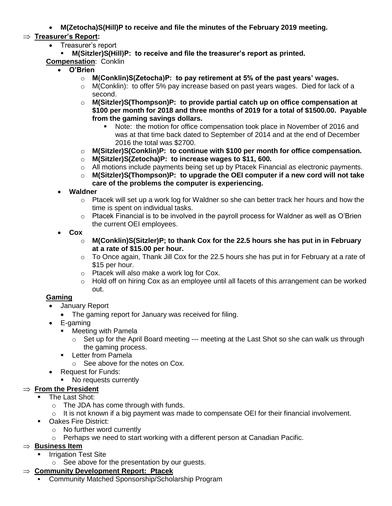**M(Zetocha)S(Hill)P to receive and file the minutes of the February 2019 meeting.**

# **Treasurer's Report:**

- Treasurer's report
- **M(Sitzler)S(Hill)P: to receive and file the treasurer's report as printed.**
- **Compensation**: Conklin
	- **O'Brien**
		- o **M(Conklin)S(Zetocha)P: to pay retirement at 5% of the past years' wages.**
		- $\circ$  M(Conklin): to offer 5% pay increase based on past years wages. Died for lack of a second.
		- o **M(Sitzler)S(Thompson)P: to provide partial catch up on office compensation at \$100 per month for 2018 and three months of 2019 for a total of \$1500.00. Payable from the gaming savings dollars.** 
			- Note: the motion for office compensation took place in November of 2016 and was at that time back dated to September of 2014 and at the end of December 2016 the total was \$2700.
		- o **M(Sitzler)S(Conklin)P: to continue with \$100 per month for office compensation.**
		- o **M(Sitzler)S(Zetocha)P: to increase wages to \$11, 600.**
		- $\circ$  All motions include payments being set up by Ptacek Financial as electronic payments.
		- o **M(Sitzler)S(Thompson)P: to upgrade the OEI computer if a new cord will not take care of the problems the computer is experiencing.**
		- **Waldner**
			- $\circ$  Ptacek will set up a work log for Waldner so she can better track her hours and how the time is spent on individual tasks.
			- $\circ$  Ptacek Financial is to be involved in the payroll process for Waldner as well as O'Brien the current OEI employees.
		- **Cox**
			- o **M(Conklin)S(Sitzler)P; to thank Cox for the 22.5 hours she has put in in February at a rate of \$15.00 per hour.**
			- $\circ$  To Once again, Thank Jill Cox for the 22.5 hours she has put in for February at a rate of \$15 per hour.
			- o Ptacek will also make a work log for Cox.
			- o Hold off on hiring Cox as an employee until all facets of this arrangement can be worked out.

# **Gaming**

- January Report
	- The gaming report for January was received for filing.
- E-gaming
	- **Neeting with Pamela** 
		- $\circ$  Set up for the April Board meeting  $-$  meeting at the Last Shot so she can walk us through the gaming process.
	- **Letter from Pamela** 
		- o See above for the notes on Cox.
- Request for Funds:
	- No requests currently

# **From the President**

- The Last Shot:
- o The JDA has come through with funds.
- $\circ$  It is not known if a big payment was made to compensate OEI for their financial involvement.
- **Dakes Fire District:** 
	- o No further word currently
	- $\circ$  Perhaps we need to start working with a different person at Canadian Pacific.

## $\Rightarrow$  **Business Item**

- **Irrigation Test Site**
- $\circ$  See above for the presentation by our guests.

## **Community Development Report: Ptacek**

Community Matched Sponsorship/Scholarship Program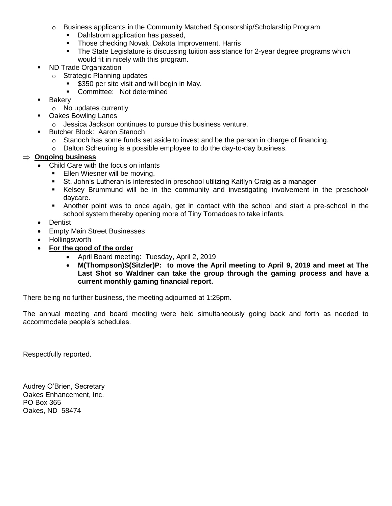- $\circ$  Business applicants in the Community Matched Sponsorship/Scholarship Program
	- Dahlstrom application has passed,
	- Those checking Novak, Dakota Improvement, Harris
	- The State Legislature is discussing tuition assistance for 2-year degree programs which would fit in nicely with this program.
- ND Trade Organization
	- o Strategic Planning updates
		- \$350 per site visit and will begin in May.
		- **Committee: Not determined**
- **Bakery** 
	- o No updates currently
- **Dakes Bowling Lanes** 
	- o Jessica Jackson continues to pursue this business venture.
- **Butcher Block: Aaron Stanoch** 
	- o Stanoch has some funds set aside to invest and be the person in charge of financing.
	- o Dalton Scheuring is a possible employee to do the day-to-day business.

#### **Ongoing business**

- Child Care with the focus on infants
	- **Ellen Wiesner will be moving.**
	- St. John's Lutheran is interested in preschool utilizing Kaitlyn Craig as a manager
	- Kelsey Brummund will be in the community and investigating involvement in the preschool/ daycare.
	- Another point was to once again, get in contact with the school and start a pre-school in the school system thereby opening more of Tiny Tornadoes to take infants.
- Dentist
- **Empty Main Street Businesses**
- Hollingsworth
- **For the good of the order**
	- April Board meeting: Tuesday, April 2, 2019
	- **M(Thompson)S(Sitzler)P: to move the April meeting to April 9, 2019 and meet at The Last Shot so Waldner can take the group through the gaming process and have a current monthly gaming financial report.**

There being no further business, the meeting adjourned at 1:25pm.

The annual meeting and board meeting were held simultaneously going back and forth as needed to accommodate people's schedules.

Respectfully reported.

Audrey O'Brien, Secretary Oakes Enhancement, Inc. PO Box 365 Oakes, ND 58474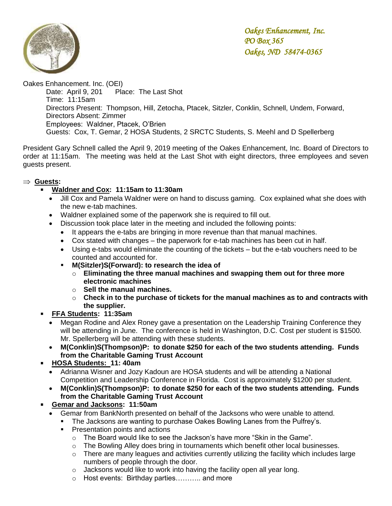

Oakes Enhancement. Inc. (OEI) Date: April 9, 201 Place: The Last Shot Time: 11:15am Directors Present: Thompson, Hill, Zetocha, Ptacek, Sitzler, Conklin, Schnell, Undem, Forward, Directors Absent: Zimmer Employees: Waldner, Ptacek, O'Brien Guests: Cox, T. Gemar, 2 HOSA Students, 2 SRCTC Students, S. Meehl and D Spellerberg

President Gary Schnell called the April 9, 2019 meeting of the Oakes Enhancement, Inc. Board of Directors to order at 11:15am. The meeting was held at the Last Shot with eight directors, three employees and seven guests present.

### **Guests:**

### **Waldner and Cox: 11:15am to 11:30am**

- Jill Cox and Pamela Waldner were on hand to discuss gaming. Cox explained what she does with the new e-tab machines.
- Waldner explained some of the paperwork she is required to fill out.
- Discussion took place later in the meeting and included the following points:
	- It appears the e-tabs are bringing in more revenue than that manual machines.
	- Cox stated with changes the paperwork for e-tab machines has been cut in half.
	- Using e-tabs would eliminate the counting of the tickets but the e-tab vouchers need to be counted and accounted for.
	- **M(Sitzler)S(Forward): to research the idea of** 
		- o **Eliminating the three manual machines and swapping them out for three more electronic machines**
		- o **Sell the manual machines.**
		- o **Check in to the purchase of tickets for the manual machines as to and contracts with the supplier.**
- **FFA Students: 11:35am**
	- Megan Rodine and Alex Roney gave a presentation on the Leadership Training Conference they will be attending in June. The conference is held in Washington, D.C. Cost per student is \$1500. Mr. Spellerberg will be attending with these students.
	- **M(Conklin)S(Thompson)P: to donate \$250 for each of the two students attending. Funds from the Charitable Gaming Trust Account**
- **HOSA Students: 11: 40am**
	- Adrianna Wisner and Jozy Kadoun are HOSA students and will be attending a National Competition and Leadership Conference in Florida. Cost is approximately \$1200 per student.
	- **M(Conklin)S(Thompson)P: to donate \$250 for each of the two students attending. Funds from the Charitable Gaming Trust Account**
- **Gemar and Jacksons: 11:50am**
	- Gemar from BankNorth presented on behalf of the Jacksons who were unable to attend.
		- The Jacksons are wanting to purchase Oakes Bowling Lanes from the Pulfrey's.
		- **Presentation points and actions** 
			- $\circ$  The Board would like to see the Jackson's have more "Skin in the Game".
			- o The Bowling Alley does bring in tournaments which benefit other local businesses.
			- $\circ$  There are many leagues and activities currently utilizing the facility which includes large numbers of people through the door.
			- o Jacksons would like to work into having the facility open all year long.
			- o Host events: Birthday parties……….. and more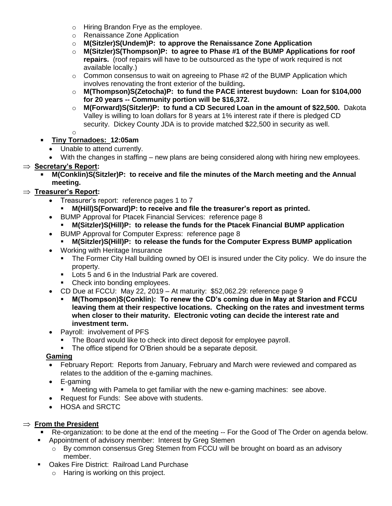- o Hiring Brandon Frye as the employee.
- o Renaissance Zone Application
- o **M(Sitzler)S(Undem)P: to approve the Renaissance Zone Application**
- o **M(Sitzler)S(Thompson)P: to agree to Phase #1 of the BUMP Applications for roof repairs.** (roof repairs will have to be outsourced as the type of work required is not available locally.)
- $\circ$  Common consensus to wait on agreeing to Phase #2 of the BUMP Application which involves renovating the front exterior of the building**.**
- o **M(Thompson)S(Zetocha)P: to fund the PACE interest buydown: Loan for \$104,000 for 20 years -- Community portion will be \$16,372.**
- o **M(Forward)S(Sitzler)P: to fund a CD Secured Loan in the amount of \$22,500.** Dakota Valley is willing to loan dollars for 8 years at 1% interest rate if there is pledged CD security. Dickey County JDA is to provide matched \$22,500 in security as well.

o

# **Tiny Tornadoes: 12:05am**

- Unable to attend currently.
- With the changes in staffing new plans are being considered along with hiring new employees.

# **Secretary's Report:**

 **M(Conklin)S(Sitzler)P: to receive and file the minutes of the March meeting and the Annual meeting.**

# **Treasurer's Report:**

- Treasurer's report: reference pages 1 to 7
	- **M(Hill)S(Forward)P: to receive and file the treasurer's report as printed.**
- BUMP Approval for Ptacek Financial Services: reference page 8
	- **M(Sitzler)S(Hill)P: to release the funds for the Ptacek Financial BUMP application**
- BUMP Approval for Computer Express: reference page 8
	- **M(Sitzler)S(Hill)P: to release the funds for the Computer Express BUMP application**
- Working with Heritage Insurance
	- The Former City Hall building owned by OEI is insured under the City policy. We do insure the property.
	- **Lots 5 and 6 in the Industrial Park are covered.**
	- Check into bonding employees.
- CD Due at FCCU: May 22, 2019 At maturity: \$52,062.29: reference page 9
	- **M(Thompson)S(Conklin): To renew the CD's coming due in May at Starion and FCCU leaving them at their respective locations. Checking on the rates and investment terms when closer to their maturity. Electronic voting can decide the interest rate and investment term.**
- Payroll: involvement of PFS
	- The Board would like to check into direct deposit for employee payroll.
	- The office stipend for O'Brien should be a separate deposit.

### **Gaming**

- February Report: Reports from January, February and March were reviewed and compared as relates to the addition of the e-gaming machines.
- E-gaming
	- **Meeting with Pamela to get familiar with the new e-gaming machines: see above.**
- Request for Funds: See above with students.
- HOSA and SRCTC

## $\Rightarrow$  From the President

- Re-organization: to be done at the end of the meeting -- For the Good of The Order on agenda below.
- **Appointment of advisory member: Interest by Greg Stemen** 
	- $\circ$  By common consensus Greg Stemen from FCCU will be brought on board as an advisory member.
- **Dakes Fire District: Railroad Land Purchase** 
	- o Haring is working on this project.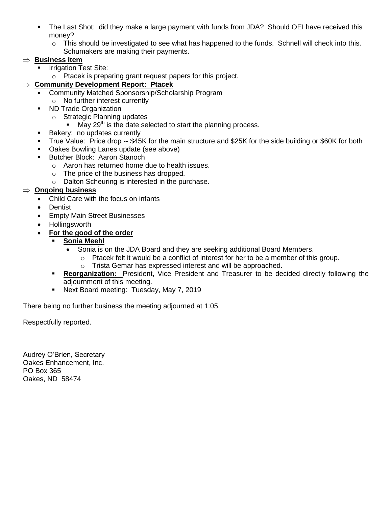- The Last Shot: did they make a large payment with funds from JDA? Should OEI have received this money?
	- $\circ$  This should be investigated to see what has happened to the funds. Schnell will check into this. Schumakers are making their payments.

### $\Rightarrow$  **Business Item**

- Irrigation Test Site:
	- o Ptacek is preparing grant request papers for this project.

# **Community Development Report: Ptacek**

- Community Matched Sponsorship/Scholarship Program
	- o No further interest currently
- ND Trade Organization
	- o Strategic Planning updates
		- May  $29<sup>th</sup>$  is the date selected to start the planning process.
- **Bakery: no updates currently**
- True Value: Price drop -- \$45K for the main structure and \$25K for the side building or \$60K for both
- **Dakes Bowling Lanes update (see above)**
- **Butcher Block: Aaron Stanoch** 
	- o Aaron has returned home due to health issues.
	- o The price of the business has dropped.
	- o Dalton Scheuring is interested in the purchase.

## **Ongoing business**

- Child Care with the focus on infants
- Dentist
	- **Empty Main Street Businesses**
	- Hollingsworth
	- **For the good of the order**
		- **Sonia Meehl** 
			- Sonia is on the JDA Board and they are seeking additional Board Members.
				- $\circ$  Ptacek felt it would be a conflict of interest for her to be a member of this group.
				- o Trista Gemar has expressed interest and will be approached.
		- **Reorganization:** President, Vice President and Treasurer to be decided directly following the adjournment of this meeting.
		- **Next Board meeting: Tuesday, May 7, 2019**

There being no further business the meeting adjourned at 1:05.

Respectfully reported.

Audrey O'Brien, Secretary Oakes Enhancement, Inc. PO Box 365 Oakes, ND 58474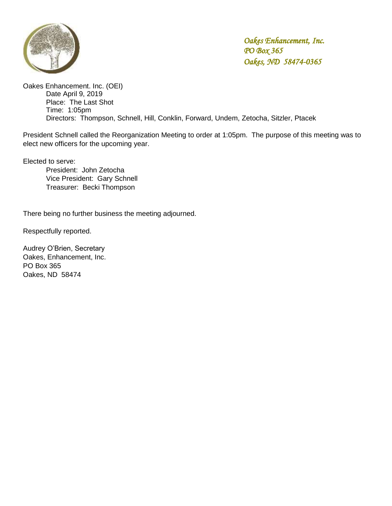

Oakes Enhancement. Inc. (OEI) Date April 9, 2019 Place: The Last Shot Time: 1:05pm Directors: Thompson, Schnell, Hill, Conklin, Forward, Undem, Zetocha, Sitzler, Ptacek

President Schnell called the Reorganization Meeting to order at 1:05pm. The purpose of this meeting was to elect new officers for the upcoming year.

Elected to serve:

President: John Zetocha Vice President: Gary Schnell Treasurer: Becki Thompson

There being no further business the meeting adjourned.

Respectfully reported.

Audrey O'Brien, Secretary Oakes, Enhancement, Inc. PO Box 365 Oakes, ND 58474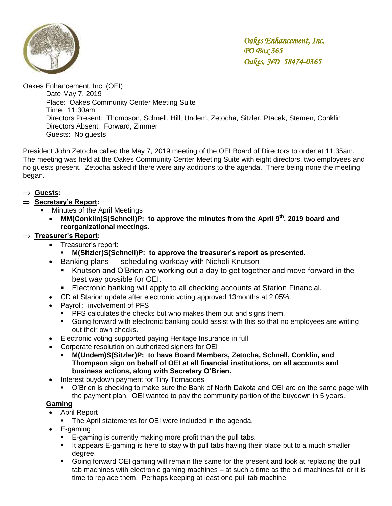

Oakes Enhancement. Inc. (OEI) Date May 7, 2019 Place: Oakes Community Center Meeting Suite Time: 11:30am Directors Present: Thompson, Schnell, Hill, Undem, Zetocha, Sitzler, Ptacek, Stemen, Conklin Directors Absent: Forward, Zimmer Guests: No guests

President John Zetocha called the May 7, 2019 meeting of the OEI Board of Directors to order at 11:35am. The meeting was held at the Oakes Community Center Meeting Suite with eight directors, two employees and no guests present. Zetocha asked if there were any additions to the agenda. There being none the meeting began.

### **Guests:**

### **Secretary's Report:**

- Minutes of the April Meetings
	- **MM(Conklin)S(Schnell)P: to approve the minutes from the April 9th, 2019 board and reorganizational meetings.**

## **Treasurer's Report:**

- Treasurer's report:
	- **M(Sitzler)S(Schnell)P: to approve the treasurer's report as presented.**
- Banking plans --- scheduling workday with Nicholi Knutson
	- Knutson and O'Brien are working out a day to get together and move forward in the best way possible for OEI.
	- Electronic banking will apply to all checking accounts at Starion Financial.
- CD at Starion update after electronic voting approved 13months at 2.05%.
- Payroll: involvement of PFS
	- **PFS calculates the checks but who makes them out and signs them.**
	- Going forward with electronic banking could assist with this so that no employees are writing out their own checks.
- Electronic voting supported paying Heritage Insurance in full
- Corporate resolution on authorized signers for OEI
	- **M(Undem)S(Sitzler)P: to have Board Members, Zetocha, Schnell, Conklin, and Thompson sign on behalf of OEI at all financial institutions, on all accounts and business actions, along with Secretary O'Brien.**
- Interest buydown payment for Tiny Tornadoes
	- O'Brien is checking to make sure the Bank of North Dakota and OEI are on the same page with the payment plan. OEI wanted to pay the community portion of the buydown in 5 years.

### **Gaming**

- April Report
	- **The April statements for OEI were included in the agenda.**
- E-gaming
	- E-gaming is currently making more profit than the pull tabs.
	- **It appears E-gaming is here to stay with pull tabs having their place but to a much smaller** degree.
	- Going forward OEI gaming will remain the same for the present and look at replacing the pull tab machines with electronic gaming machines – at such a time as the old machines fail or it is time to replace them. Perhaps keeping at least one pull tab machine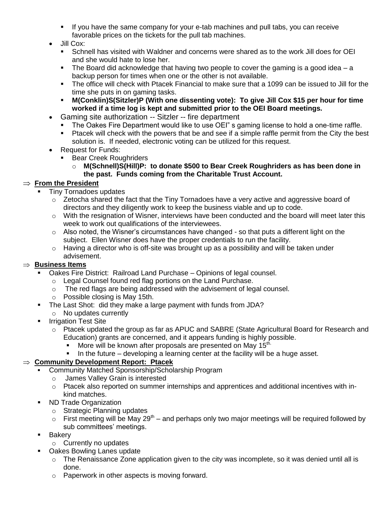- If you have the same company for your e-tab machines and pull tabs, you can receive favorable prices on the tickets for the pull tab machines.
- Jill Cox:
	- Schnell has visited with Waldner and concerns were shared as to the work Jill does for OEI and she would hate to lose her.
	- $\blacksquare$  The Board did acknowledge that having two people to cover the gaming is a good idea a backup person for times when one or the other is not available.
	- The office will check with Ptacek Financial to make sure that a 1099 can be issued to Jill for the time she puts in on gaming tasks.
	- **M(Conklin)S(Sitzler)P (With one dissenting vote): To give Jill Cox \$15 per hour for time worked if a time log is kept and submitted prior to the OEI Board meetings.**
- Gaming site authorization -- Sitzler -- fire department
	- The Oakes Fire Department would like to use OEI" s gaming license to hold a one-time raffle.
	- Ptacek will check with the powers that be and see if a simple raffle permit from the City the best solution is. If needed, electronic voting can be utilized for this request.
- Request for Funds:
	- Bear Creek Roughriders
		- o **M(Schnell)S(Hill)P: to donate \$500 to Bear Creek Roughriders as has been done in the past. Funds coming from the Charitable Trust Account.**

# $\Rightarrow$  From the President

- Tiny Tornadoes updates
	- $\circ$  Zetocha shared the fact that the Tiny Tornadoes have a very active and aggressive board of directors and they diligently work to keep the business viable and up to code.
	- $\circ$  With the resignation of Wisner, interviews have been conducted and the board will meet later this week to work out qualifications of the interviewees.
	- $\circ$  Also noted, the Wisner's circumstances have changed so that puts a different light on the subject. Ellen Wisner does have the proper credentials to run the facility.
	- $\circ$  Having a director who is off-site was brought up as a possibility and will be taken under advisement.

## $\Rightarrow$  Business Items

- Oakes Fire District: Railroad Land Purchase Opinions of legal counsel.
	- o Legal Counsel found red flag portions on the Land Purchase.
	- o The red flags are being addressed with the advisement of legal counsel.
	- o Possible closing is May 15th.
- The Last Shot: did they make a large payment with funds from JDA?
- o No updates currently
- **Irrigation Test Site** 
	- o Ptacek updated the group as far as APUC and SABRE (State Agricultural Board for Research and Education) grants are concerned, and it appears funding is highly possible.
		- More will be known after proposals are presented on May  $15<sup>th</sup>$ .
		- In the future developing a learning center at the facility will be a huge asset.

## **Community Development Report: Ptacek**

- Community Matched Sponsorship/Scholarship Program
	- o James Valley Grain is interested
	- o Ptacek also reported on summer internships and apprentices and additional incentives with inkind matches.
- **ND Trade Organization** 
	- o Strategic Planning updates
	- $\circ$  First meeting will be May 29<sup>th</sup> and perhaps only two major meetings will be required followed by sub committees' meetings.
- **Bakery** 
	- o Currently no updates
- **Dakes Bowling Lanes update** 
	- $\circ$  The Renaissance Zone application given to the city was incomplete, so it was denied until all is done.
	- o Paperwork in other aspects is moving forward.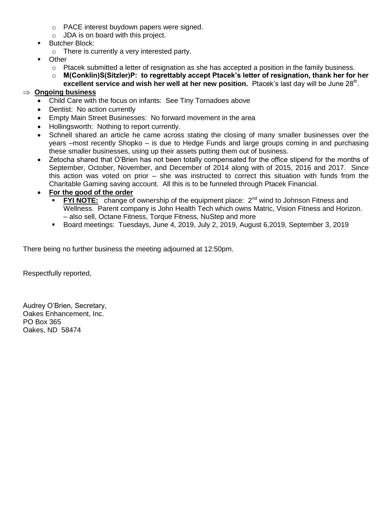- o PACE interest buydown papers were signed.
- o JDA is on board with this project.
- Butcher Block:
	- o There is currently a very interested party.
- **D**ther
	- $\circ$  Ptacek submitted a letter of resignation as she has accepted a position in the family business.
	- o **M(Conklin)S(Sitzler)P: to regrettably accept Ptacek's letter of resignation, thank her for her**
	- excellent service and wish her well at her new position. Ptacek's last day will be June 28<sup>th</sup>.

# **Ongoing business**

- Child Care with the focus on infants: See Tiny Tornadoes above
- Dentist: No action currently
- Empty Main Street Businesses: No forward movement in the area
- Hollingsworth: Nothing to report currently.
- Schnell shared an article he came across stating the closing of many smaller businesses over the years –most recently Shopko – is due to Hedge Funds and large groups coming in and purchasing these smaller businesses, using up their assets putting them out of business.
- Zetocha shared that O'Brien has not been totally compensated for the office stipend for the months of September, October, November, and December of 2014 along with of 2015, 2016 and 2017. Since this action was voted on prior – she was instructed to correct this situation with funds from the Charitable Gaming saving account. All this is to be funneled through Ptacek Financial.

#### **For the good of the order**

- **FYI NOTE:** change of ownership of the equipment place: 2<sup>nd</sup> wind to Johnson Fitness and Wellness. Parent company is John Health Tech which owns Matric, Vision Fitness and Horizon. – also sell, Octane Fitness, Torque Fitness, NuStep and more
- Board meetings: Tuesdays, June 4, 2019, July 2, 2019, August 6, 2019, September 3, 2019

There being no further business the meeting adjourned at 12:50pm.

Respectfully reported,

Audrey O'Brien, Secretary, Oakes Enhancement, Inc. PO Box 365 Oakes, ND 58474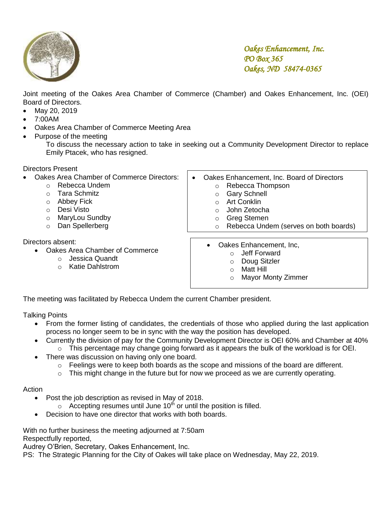

Joint meeting of the Oakes Area Chamber of Commerce (Chamber) and Oakes Enhancement, Inc. (OEI)  Board of Directors.

- May 20, 2019
- 7:00AM
- Oakes Area Chamber of Commerce Meeting Area
- Purpose of the meeting

To discuss the necessary action to take in seeking out a Community Development Director to replace Emily Ptacek, who has resigned.

Directors Present

- Oakes Area Chamber of Commerce Directors:
	- o Rebecca Undem
		- o Tara Schmitz
		- o Abbey Fick
		- o Desi Visto
		- o MaryLou Sundby
		- o Dan Spellerberg

Directors absent:

- Oakes Area Chamber of Commerce
	- o Jessica Quandt
	- o Katie Dahlstrom
- Oakes Enhancement, Inc. Board of Directors o Rebecca Thompson
	- o Gary Schnell
	- o Art Conklin
	- o John Zetocha
	- o Greg Stemen
	- o Rebecca Undem (serves on both boards)
	- Oakes Enhancement, Inc,
		- o Jeff Forward
		- o Doug Sitzler
		- o Matt Hill
		- o Mayor Monty Zimmer

The meeting was facilitated by Rebecca Undem the current Chamber president.

Talking Points

- From the former listing of candidates, the credentials of those who applied during the last application process no longer seem to be in sync with the way the position has developed.
- Currently the division of pay for the Community Development Director is OEI 60% and Chamber at 40%  $\circ$  This percentage may change going forward as it appears the bulk of the workload is for OEI.
- There was discussion on having only one board.
	- $\circ$  Feelings were to keep both boards as the scope and missions of the board are different.
	- $\circ$  This might change in the future but for now we proceed as we are currently operating.

#### Action

- Post the job description as revised in May of 2018.
	- $\circ$  Accepting resumes until June 10<sup>th</sup> or until the position is filled.
- Decision to have one director that works with both boards.

With no further business the meeting adjourned at 7:50am

Respectfully reported,

Audrey O'Brien, Secretary, Oakes Enhancement, Inc.

PS: The Strategic Planning for the City of Oakes will take place on Wednesday, May 22, 2019.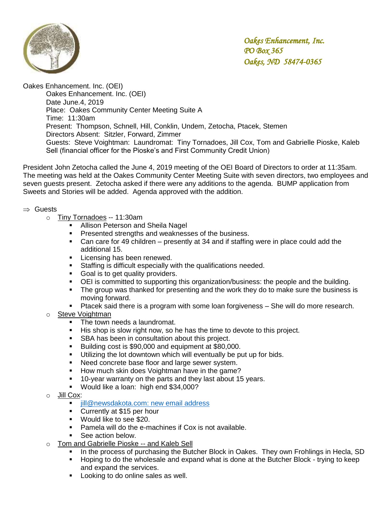

Oakes Enhancement. Inc. (OEI)

Oakes Enhancement. Inc. (OEI) Date June.4, 2019 Place: Oakes Community Center Meeting Suite A Time: 11:30am Present: Thompson, Schnell, Hill, Conklin, Undem, Zetocha, Ptacek, Stemen Directors Absent: Sitzler, Forward, Zimmer Guests: Steve Voightman: Laundromat: Tiny Tornadoes, Jill Cox, Tom and Gabrielle Pioske, Kaleb Sell (financial officer for the Pioske's and First Community Credit Union)

President John Zetocha called the June 4, 2019 meeting of the OEI Board of Directors to order at 11:35am. The meeting was held at the Oakes Community Center Meeting Suite with seven directors, two employees and seven guests present. Zetocha asked if there were any additions to the agenda. BUMP application from Sweets and Stories will be added. Agenda approved with the addition.

#### $\Rightarrow$  Guests

- o Tiny Tornadoes -- 11:30am
	- **Allison Peterson and Sheila Nagel**
	- **Presented strengths and weaknesses of the business.**
	- Can care for 49 children presently at 34 and if staffing were in place could add the additional 15.
	- **Licensing has been renewed.**
	- **Staffing is difficult especially with the qualifications needed.**
	- **Goal is to get quality providers.**
	- OEI is committed to supporting this organization/business: the people and the building.
	- The group was thanked for presenting and the work they do to make sure the business is moving forward.
	- Ptacek said there is a program with some loan forgiveness She will do more research.
- Steve Voightman
	- The town needs a laundromat.
	- His shop is slow right now, so he has the time to devote to this project.
	- **SBA** has been in consultation about this project.
	- Building cost is \$90,000 and equipment at \$80,000.
	- **Utilizing the lot downtown which will eventually be put up for bids.**
	- Need concrete base floor and large sewer system.
	- How much skin does Voightman have in the game?
	- 10-year warranty on the parts and they last about 15 years.
	- Would like a loan: high end \$34,000?
- o Jill Cox:
	- iill@newsdakota.com: new email address
	- Currently at \$15 per hour
	- **Would like to see \$20.**
	- Pamela will do the e-machines if Cox is not available.
	- **See action below.**
- o Tom and Gabrielle Pioske -- and Kaleb Sell
	- In the process of purchasing the Butcher Block in Oakes. They own Frohlings in Hecla, SD
	- **Hoping to do the wholesale and expand what is done at the Butcher Block trying to keep** and expand the services.
	- **Looking to do online sales as well.**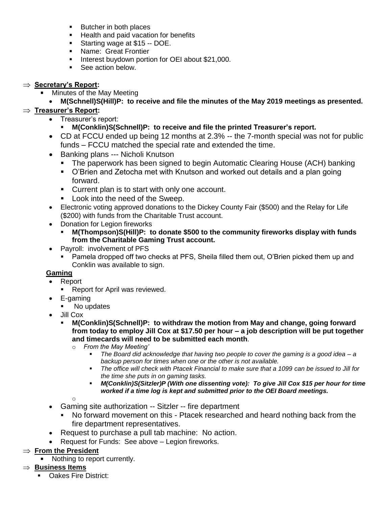- Butcher in both places
- **Health and paid vacation for benefits**
- **Starting wage at \$15 -- DOE.**
- **Name: Great Frontier**
- **Interest buydown portion for OEI about \$21,000.**
- See action below.

## **Secretary's Report:**

Minutes of the May Meeting

# **M(Schnell)S(Hill)P: to receive and file the minutes of the May 2019 meetings as presented.**

## **Treasurer's Report:**

- Treasurer's report:
	- **M(Conklin)S(Schnell)P: to receive and file the printed Treasurer's report.**
- CD at FCCU ended up being 12 months at 2.3% -- the 7-month special was not for public funds – FCCU matched the special rate and extended the time.
- Banking plans --- Nicholi Knutson
	- The paperwork has been signed to begin Automatic Clearing House (ACH) banking
	- O'Brien and Zetocha met with Knutson and worked out details and a plan going forward.
	- **Current plan is to start with only one account.**
	- **Look into the need of the Sweep.**
- Electronic voting approved donations to the Dickey County Fair (\$500) and the Relay for Life (\$200) with funds from the Charitable Trust account.
- Donation for Legion fireworks
	- **M(Thompson)S(Hill)P: to donate \$500 to the community fireworks display with funds from the Charitable Gaming Trust account.**
- Payroll: involvement of PFS
	- Pamela dropped off two checks at PFS, Sheila filled them out, O'Brien picked them up and Conklin was available to sign.

### **Gaming**

- Report
	- Report for April was reviewed.
- E-gaming
	- No updates
- Jill Cox
	- **M(Conklin)S(Schnell)P: to withdraw the motion from May and change, going forward from today to employ Jill Cox at \$17.50 per hour – a job description will be put together and timecards will need to be submitted each month**.
		- o *From the May Meeting'*
			- *The Board did acknowledge that having two people to cover the gaming is a good idea – a backup person for times when one or the other is not available.*
			- *The office will check with Ptacek Financial to make sure that a 1099 can be issued to Jill for the time she puts in on gaming tasks.*
			- *M(Conklin)S(Sitzler)P (With one dissenting vote): To give Jill Cox \$15 per hour for time worked if a time log is kept and submitted prior to the OEI Board meetings.*

o

- Gaming site authorization -- Sitzler -- fire department
	- No forward movement on this Ptacek researched and heard nothing back from the fire department representatives.
- Request to purchase a pull tab machine: No action.
- Request for Funds: See above Legion fireworks.

## $\Rightarrow$  **From the President**

**Nothing to report currently.** 

## $\Rightarrow$  **Business Items**

Oakes Fire District: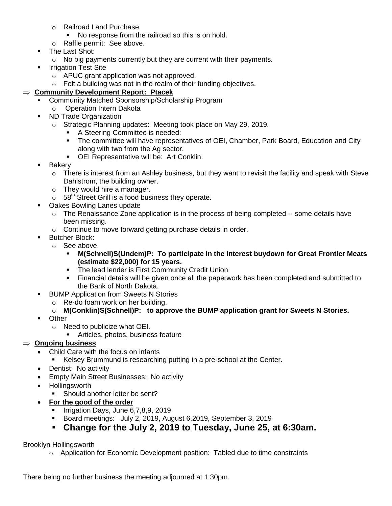- o Railroad Land Purchase
	- No response from the railroad so this is on hold.
- o Raffle permit: See above.
- **The Last Shot:** 
	- o No big payments currently but they are current with their payments.
- **Irrigation Test Site** 
	- o APUC grant application was not approved.
- $\circ$  Felt a building was not in the realm of their funding objectives.

#### **Community Development Report: Ptacek**

- Community Matched Sponsorship/Scholarship Program
	- o Operation Intern Dakota
- **ND Trade Organization** 
	- o Strategic Planning updates: Meeting took place on May 29, 2019.
		- A Steering Committee is needed:
			- The committee will have representatives of OEI, Chamber, Park Board, Education and City along with two from the Ag sector.
		- OEI Representative will be: Art Conklin.
- **Bakery** 
	- o There is interest from an Ashley business, but they want to revisit the facility and speak with Steve Dahlstrom, the building owner.
	- o They would hire a manager.
	- $\circ$  58<sup>th</sup> Street Grill is a food business they operate.
- **Oakes Bowling Lanes update** 
	- $\circ$  The Renaissance Zone application is in the process of being completed -- some details have been missing.
	- o Continue to move forward getting purchase details in order.
- **Butcher Block:** 
	- o See above.
		- **M(Schnell)S(Undem)P: To participate in the interest buydown for Great Frontier Meats (estimate \$22,000) for 15 years.**
		- **The lead lender is First Community Credit Union**
		- Financial details will be given once all the paperwork has been completed and submitted to the Bank of North Dakota.
- **BUMP Application from Sweets N Stories** 
	- o Re-do foam work on her building.
	- o **M(Conklin)S(Schnell)P: to approve the BUMP application grant for Sweets N Stories.**
- Other
	- o Need to publicize what OEI.
		- **Articles, photos, business feature**

### **Ongoing business**

- Child Care with the focus on infants
	- Kelsey Brummund is researching putting in a pre-school at the Center.
- Dentist: No activity
- Empty Main Street Businesses: No activity
- Hollingsworth
	- **Should another letter be sent?**
- **For the good of the order**
	- Irrigation Days, June 6, 7, 8, 9, 2019
	- Board meetings: July 2, 2019, August 6,2019, September 3, 2019
	- **Change for the July 2, 2019 to Tuesday, June 25, at 6:30am.**

### Brooklyn Hollingsworth

o Application for Economic Development position: Tabled due to time constraints

There being no further business the meeting adjourned at 1:30pm.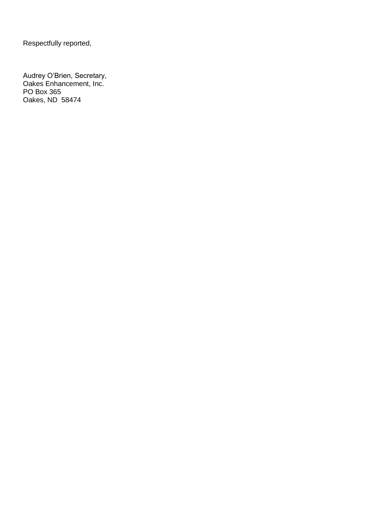Respectfully reported,

Audrey O'Brien, Secretary, Oakes Enhancement, Inc. PO Box 365 Oakes, ND 58474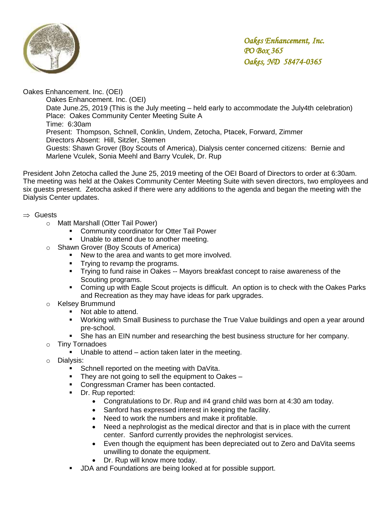

Oakes Enhancement. Inc. (OEI)

Oakes Enhancement. Inc. (OEI) Date June.25, 2019 (This is the July meeting – held early to accommodate the July4th celebration) Place: Oakes Community Center Meeting Suite A Time: 6:30am Present: Thompson, Schnell, Conklin, Undem, Zetocha, Ptacek, Forward, Zimmer Directors Absent: Hill, Sitzler, Stemen Guests: Shawn Grover (Boy Scouts of America), Dialysis center concerned citizens: Bernie and Marlene Vculek, Sonia Meehl and Barry Vculek, Dr. Rup

President John Zetocha called the June 25, 2019 meeting of the OEI Board of Directors to order at 6:30am. The meeting was held at the Oakes Community Center Meeting Suite with seven directors, two employees and six guests present. Zetocha asked if there were any additions to the agenda and began the meeting with the Dialysis Center updates.

#### $\Rightarrow$  Guests

- o Matt Marshall (Otter Tail Power)
	- **Community coordinator for Otter Tail Power**
	- **Unable to attend due to another meeting.**
- o Shawn Grover (Boy Scouts of America)
	- New to the area and wants to get more involved.
	- **Trying to revamp the programs.**
	- Trying to fund raise in Oakes -- Mayors breakfast concept to raise awareness of the Scouting programs.
	- Coming up with Eagle Scout projects is difficult. An option is to check with the Oakes Parks and Recreation as they may have ideas for park upgrades.
- o Kelsey Brummund
	- Not able to attend.
	- **Working with Small Business to purchase the True Value buildings and open a year around** pre-school.
	- She has an EIN number and researching the best business structure for her company.
- o Tiny Tornadoes
	- Unable to attend action taken later in the meeting.
- o Dialysis:
	- Schnell reported on the meeting with DaVita.
	- They are not going to sell the equipment to Oakes –
	- **Congressman Cramer has been contacted.**
	- Dr. Rup reported:
		- Congratulations to Dr. Rup and #4 grand child was born at 4:30 am today.
		- Sanford has expressed interest in keeping the facility.
		- Need to work the numbers and make it profitable.
		- Need a nephrologist as the medical director and that is in place with the current center. Sanford currently provides the nephrologist services.
		- Even though the equipment has been depreciated out to Zero and DaVita seems unwilling to donate the equipment.
		- Dr. Rup will know more today.
	- **JDA and Foundations are being looked at for possible support.**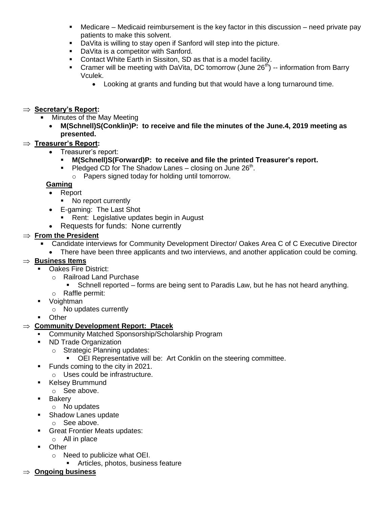- Medicare Medicaid reimbursement is the key factor in this discussion need private pay patients to make this solvent.
- **DaVita is willing to stay open if Sanford will step into the picture.**
- **DaVita is a competitor with Sanford.**
- Contact White Earth in Sissiton, SD as that is a model facility.
- Cramer will be meeting with DaVita, DC tomorrow (June  $26<sup>th</sup>$ ) -- information from Barry Vculek.
	- Looking at grants and funding but that would have a long turnaround time.

### ⇒ Secretary's Report:

- Minutes of the May Meeting
	- **M(Schnell)S(Conklin)P: to receive and file the minutes of the June.4, 2019 meeting as presented.**

### **Treasurer's Report:**

- Treasurer's report:
	- **M(Schnell)S(Forward)P: to receive and file the printed Treasurer's report.**
	- Pledged CD for The Shadow Lanes  $-$  closing on June 26<sup>th</sup>.
		- o Papers signed today for holding until tomorrow.

### **Gaming**

- Report
	- No report currently
- E-gaming: The Last Shot
	- **Rent: Legislative updates begin in August**
- Requests for funds: None currently

## $\Rightarrow$  **From the President**

- Candidate interviews for Community Development Director/ Oakes Area C of C Executive Director
	- There have been three applicants and two interviews, and another application could be coming.

## **Business Items**

- **Cakes Fire District:** 
	- o Railroad Land Purchase
		- Schnell reported forms are being sent to Paradis Law, but he has not heard anything.
	- o Raffle permit:
- Voightman
	- o No updates currently
- **D**ther

### **Community Development Report: Ptacek**

- Community Matched Sponsorship/Scholarship Program
- ND Trade Organization
	- o Strategic Planning updates:
		- **OEI Representative will be: Art Conklin on the steering committee.**
- **Funds coming to the city in 2021.** 
	- o Uses could be infrastructure.
- **Kelsey Brummund** 
	- o See above.
- **Bakery** 
	- o No updates
- **Shadow Lanes update** 
	- o See above.
- **Great Frontier Meats updates:**
- o All in place
- **Deam** Other
	- o Need to publicize what OEI.
		- **Articles, photos, business feature**
- **Ongoing business**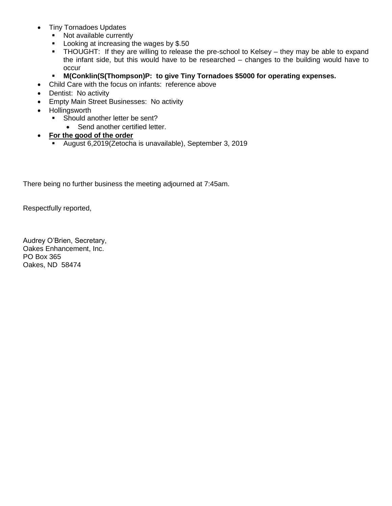- Tiny Tornadoes Updates
	- Not available currently
	- **Looking at increasing the wages by \$.50**
	- THOUGHT: If they are willing to release the pre-school to Kelsey they may be able to expand the infant side, but this would have to be researched – changes to the building would have to occur
	- **M(Conklin(S(Thompson)P: to give Tiny Tornadoes \$5000 for operating expenses.**
- Child Care with the focus on infants: reference above
- Dentist: No activity
- Empty Main Street Businesses: No activity
- Hollingsworth
	- Should another letter be sent?
		- Send another certified letter.

#### **For the good of the order**

August 6,2019(Zetocha is unavailable), September 3, 2019

There being no further business the meeting adjourned at 7:45am.

Respectfully reported,

Audrey O'Brien, Secretary, Oakes Enhancement, Inc. PO Box 365 Oakes, ND 58474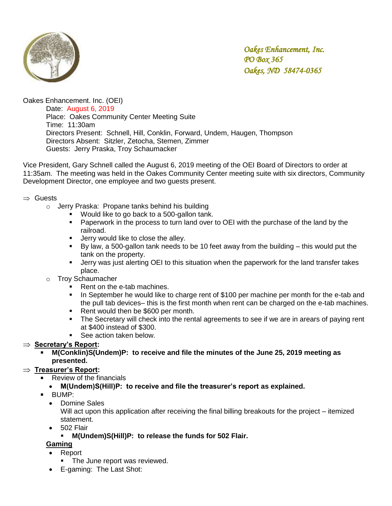

Oakes Enhancement. Inc. (OEI)

Date: August 6, 2019 Place: Oakes Community Center Meeting Suite Time: 11:30am Directors Present: Schnell, Hill, Conklin, Forward, Undem, Haugen, Thompson Directors Absent: Sitzler, Zetocha, Stemen, Zimmer Guests: Jerry Praska, Troy Schaumacker

Vice President, Gary Schnell called the August 6, 2019 meeting of the OEI Board of Directors to order at 11:35am. The meeting was held in the Oakes Community Center meeting suite with six directors, Community Development Director, one employee and two guests present.

#### $\Rightarrow$  Guests

- o Jerry Praska: Propane tanks behind his building
	- **Would like to go back to a 500-gallon tank.**
	- **Paperwork in the process to turn land over to OEI with the purchase of the land by the** railroad.
	- **Jerry would like to close the alley.**
	- By law, a 500-gallon tank needs to be 10 feet away from the building this would put the tank on the property.
	- **•** Jerry was just alerting OEI to this situation when the paperwork for the land transfer takes place.
- o Troy Schaumacher
	- Rent on the e-tab machines.
	- In September he would like to charge rent of \$100 per machine per month for the e-tab and the pull tab devices– this is the first month when rent can be charged on the e-tab machines. the pull tab devices- this is the first m<br>Rent would then be \$600 per month.
	-
	- The Secretary will check into the rental agreements to see if we are in arears of paying rent at \$400 instead of \$300.
	- See action taken below.

## ⇒ Secretary's Report:

 **M(Conklin)S(Undem)P: to receive and file the minutes of the June 25, 2019 meeting as presented.**

### **Treasurer's Report:**

- Review of the financials
	- **M(Undem)S(Hill)P: to receive and file the treasurer's report as explained.**
- BUMP:
	- Domine Sales

Will act upon this application after receiving the final billing breakouts for the project – itemized statement.

- 502 Flair
	- **M(Undem)S(Hill)P: to release the funds for 502 Flair.**

### **Gaming**

- Report
	- The June report was reviewed.
- E-gaming: The Last Shot: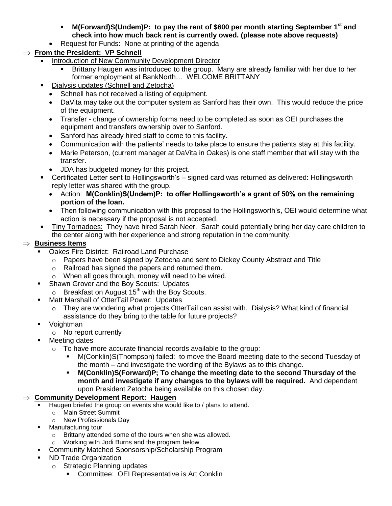- **M(Forward)S(Undem)P: to pay the rent of \$600 per month starting September 1st and check into how much back rent is currently owed. (please note above requests)**
- Request for Funds: None at printing of the agenda

# **From the President: VP Schnell**

- Introduction of New Community Development Director
	- Brittany Haugen was introduced to the group. Many are already familiar with her due to her former employment at BankNorth… WELCOME BRITTANY
- Dialysis updates (Schnell and Zetocha)
	- Schnell has not received a listing of equipment.
	- DaVita may take out the computer system as Sanford has their own. This would reduce the price of the equipment.
	- Transfer change of ownership forms need to be completed as soon as OEI purchases the equipment and transfers ownership over to Sanford.
	- Sanford has already hired staff to come to this facility.
	- Communication with the patients' needs to take place to ensure the patients stay at this facility.
	- Marie Peterson, (current manager at DaVita in Oakes) is one staff member that will stay with the transfer.
	- JDA has budgeted money for this project.
- Certificated Letter sent to Hollingsworth's signed card was returned as delivered: Hollingsworth reply letter was shared with the group.
	- Action: **M(Conklin)S(Undem)P: to offer Hollingsworth's a grant of 50% on the remaining portion of the loan.**
- Then following communication with this proposal to the Hollingsworth's, OEI would determine what action is necessary if the proposal is not accepted.
- Tiny Tornadoes: They have hired Sarah Neer. Sarah could potentially bring her day care children to the center along with her experience and strong reputation in the community.

## **Business Items**

- Oakes Fire District: Railroad Land Purchase
	- $\circ$  Papers have been signed by Zetocha and sent to Dickey County Abstract and Title
	- o Railroad has signed the papers and returned them.
	- o When all goes through, money will need to be wired.
- Shawn Grover and the Boy Scouts: Updates
- $\circ$  Breakfast on August 15<sup>th</sup> with the Boy Scouts.
- **Matt Marshall of OtterTail Power: Updates** 
	- $\circ$  They are wondering what projects OtterTail can assist with. Dialysis? What kind of financial assistance do they bring to the table for future projects?
- **v**oightman
	- o No report currently
- **Neeting dates** 
	- o To have more accurate financial records available to the group:
		- M(Conklin)S(Thompson) failed: to move the Board meeting date to the second Tuesday of the month – and investigate the wording of the Bylaws as to this change.
		- **M(Conklin)S(Forward)P; To change the meeting date to the second Thursday of the month and investigate if any changes to the bylaws will be required.** And dependent upon President Zetocha being available on this chosen day.

## **Community Development Report: Haugen**

- Haugen briefed the group on events she would like to / plans to attend.
	- o Main Street Summit
	- o New Professionals Day
- **Manufacturing tour** 
	- o Brittany attended some of the tours when she was allowed.
	- o Working with Jodi Burns and the program below.
- **-** Community Matched Sponsorship/Scholarship Program
- ND Trade Organization
	- o Strategic Planning updates
		- **Committee: OEI Representative is Art Conklin**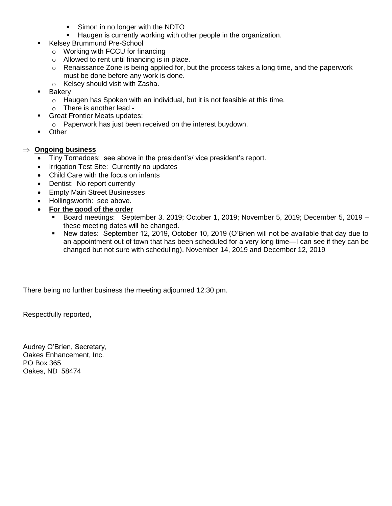- Simon in no longer with the NDTO
- **Haugen is currently working with other people in the organization.**
- Kelsey Brummund Pre-School
	- o Working with FCCU for financing
	- o Allowed to rent until financing is in place.
	- $\circ$  Renaissance Zone is being applied for, but the process takes a long time, and the paperwork must be done before any work is done.
	- o Kelsey should visit with Zasha.
- **Bakery** 
	- o Haugen has Spoken with an individual, but it is not feasible at this time.
	- o There is another lead -
- **Great Frontier Meats updates:**
- o Paperwork has just been received on the interest buydown.
- **•** Other

#### **Ongoing business**

- Tiny Tornadoes: see above in the president's/ vice president's report.
- Irrigation Test Site: Currently no updates
- Child Care with the focus on infants
- Dentist: No report currently
- **Empty Main Street Businesses**
- Hollingsworth: see above.
- **For the good of the order**
	- Board meetings: September 3, 2019; October 1, 2019; November 5, 2019; December 5, 2019 these meeting dates will be changed.
	- New dates: September 12, 2019, October 10, 2019 (O'Brien will not be available that day due to an appointment out of town that has been scheduled for a very long time—I can see if they can be changed but not sure with scheduling), November 14, 2019 and December 12, 2019

There being no further business the meeting adjourned 12:30 pm.

Respectfully reported,

Audrey O'Brien, Secretary, Oakes Enhancement, Inc. PO Box 365 Oakes, ND 58474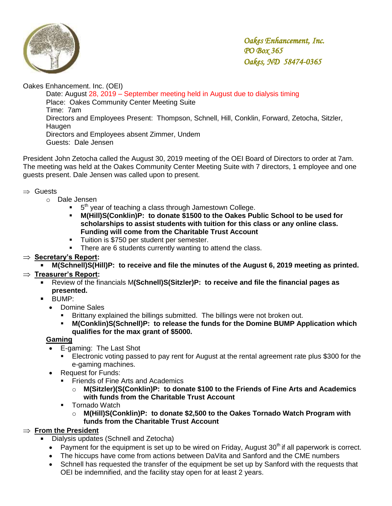

Oakes Enhancement. Inc. (OEI)

Date: August 28, 2019 – September meeting held in August due to dialysis timing Place: Oakes Community Center Meeting Suite Time: 7am Directors and Employees Present: Thompson, Schnell, Hill, Conklin, Forward, Zetocha, Sitzler, Haugen Directors and Employees absent Zimmer, Undem Guests: Dale Jensen

President John Zetocha called the August 30, 2019 meeting of the OEI Board of Directors to order at 7am. The meeting was held at the Oakes Community Center Meeting Suite with 7 directors, 1 employee and one guests present. Dale Jensen was called upon to present.

### $\Rightarrow$  Guests

- o Dale Jensen
	- $\bullet$  5<sup>th</sup> year of teaching a class through Jamestown College.
	- **M(Hill)S(Conklin)P: to donate \$1500 to the Oakes Public School to be used for scholarships to assist students with tuition for this class or any online class. Funding will come from the Charitable Trust Account**
	- **Tuition is \$750 per student per semester.**
	- There are 6 students currently wanting to attend the class.

### ⇒ Secretary's Report:

**M(Schnell)S(Hill)P: to receive and file the minutes of the August 6, 2019 meeting as printed.** 

### **Treasurer's Report:**

- Review of the financials M**(Schnell)S(Sitzler)P: to receive and file the financial pages as presented.**
- BUMP:
	- Domine Sales
		- Brittany explained the billings submitted. The billings were not broken out.
		- **M(Conklin)S(Schnell)P: to release the funds for the Domine BUMP Application which qualifies for the max grant of \$5000.**

### **Gaming**

- E-gaming: The Last Shot
	- Electronic voting passed to pay rent for August at the rental agreement rate plus \$300 for the e-gaming machines.
- Request for Funds:
	- **Figure 3 Friends of Fine Arts and Academics** 
		- o **M(Sitzler)(S(Conklin)P: to donate \$100 to the Friends of Fine Arts and Academics with funds from the Charitable Trust Account**
	- Tornado Watch
		- o **M(Hill)S(Conklin)P: to donate \$2,500 to the Oakes Tornado Watch Program with funds from the Charitable Trust Account**

## $\Rightarrow$  From the President

- Dialysis updates (Schnell and Zetocha)
- Payment for the equipment is set up to be wired on Friday, August  $30<sup>th</sup>$  if all paperwork is correct.
- The hiccups have come from actions between DaVita and Sanford and the CME numbers
- Schnell has requested the transfer of the equipment be set up by Sanford with the requests that OEI be indemnified, and the facility stay open for at least 2 years.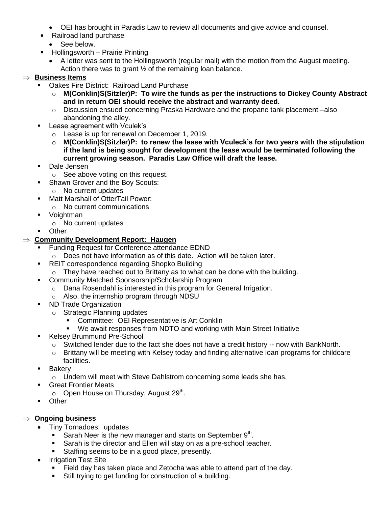- OEI has brought in Paradis Law to review all documents and give advice and counsel.
- Railroad land purchase
	- See below.
- Hollingsworth Prairie Printing
	- A letter was sent to the Hollingsworth (regular mail) with the motion from the August meeting. Action there was to grant ½ of the remaining loan balance.

## **Business Items**

- Oakes Fire District: Railroad Land Purchase
	- o **M(Conklin)S(Sitzler)P: To wire the funds as per the instructions to Dickey County Abstract and in return OEI should receive the abstract and warranty deed.**
	- $\circ$  Discussion ensued concerning Praska Hardware and the propane tank placement –also abandoning the alley.
- Lease agreement with Vculek's
	- o Lease is up for renewal on December 1, 2019.
	- o **M(Conklin)S(Sitzler)P: to renew the lease with Vculeck's for two years with the stipulation if the land is being sought for development the lease would be terminated following the current growing season. Paradis Law Office will draft the lease.**
- **Dale Jensen** 
	- o See above voting on this request.
- Shawn Grover and the Boy Scouts:
	- o No current updates
- **Natt Marshall of OtterTail Power:** 
	- o No current communications
- **v** Voightman
	- o No current updates
- **Depart** of Other

## **Community Development Report: Haugen**

- Funding Request for Conference attendance EDND
	- o Does not have information as of this date. Action will be taken later.
- **REIT correspondence regarding Shopko Building** 
	- $\circ$  They have reached out to Brittany as to what can be done with the building.
- **-** Community Matched Sponsorship/Scholarship Program
	- o Dana Rosendahl is interested in this program for General Irrigation.
	- o Also, the internship program through NDSU
- **ND Trade Organization** 
	- o Strategic Planning updates
		- Committee: OEI Representative is Art Conklin
		- We await responses from NDTO and working with Main Street Initiative
- **Kelsey Brummund Pre-School** 
	- o Switched lender due to the fact she does not have a credit history -- now with BankNorth.
	- $\circ$  Brittany will be meeting with Kelsey today and finding alternative loan programs for childcare facilities.
- **Bakery** 
	- o Undem will meet with Steve Dahlstrom concerning some leads she has.
- **Great Frontier Meats** 
	- $\circ$  Open House on Thursday, August 29<sup>th</sup>.
- **Other**

## **Ongoing business**

- Tiny Tornadoes: updates
	- Sarah Neer is the new manager and starts on September  $9<sup>th</sup>$ .
	- Sarah is the director and Ellen will stay on as a pre-school teacher.
	- Staffing seems to be in a good place, presently.
- Irrigation Test Site
	- Field day has taken place and Zetocha was able to attend part of the day.
	- Still trying to get funding for construction of a building.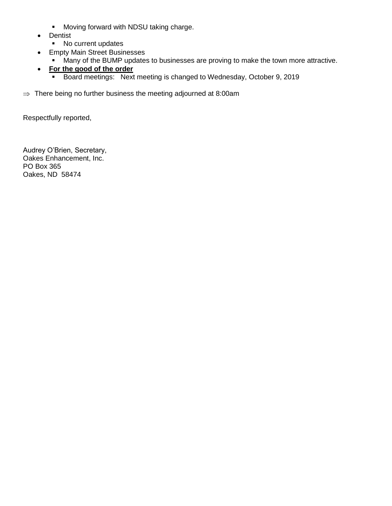- **Moving forward with NDSU taking charge.**
- Dentist
	- No current updates
- Empty Main Street Businesses
	- **Many of the BUMP updates to businesses are proving to make the town more attractive.**
- **For the good of the order**
	- Board meetings: Next meeting is changed to Wednesday, October 9, 2019
- $\Rightarrow$  There being no further business the meeting adjourned at 8:00am

Respectfully reported,

Audrey O'Brien, Secretary, Oakes Enhancement, Inc. PO Box 365 Oakes, ND 58474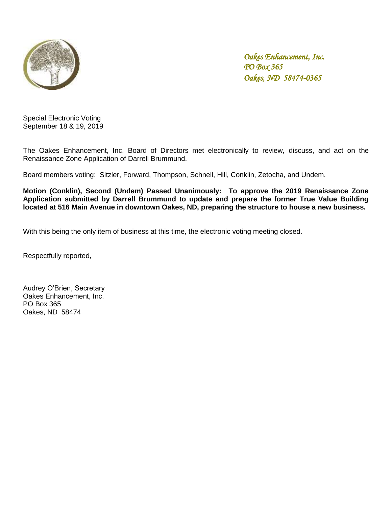

Special Electronic Voting September 18 & 19, 2019

The Oakes Enhancement, Inc. Board of Directors met electronically to review, discuss, and act on the Renaissance Zone Application of Darrell Brummund.

Board members voting: Sitzler, Forward, Thompson, Schnell, Hill, Conklin, Zetocha, and Undem.

**Motion (Conklin), Second (Undem) Passed Unanimously: To approve the 2019 Renaissance Zone Application submitted by Darrell Brummund to update and prepare the former True Value Building located at 516 Main Avenue in downtown Oakes, ND, preparing the structure to house a new business.** 

With this being the only item of business at this time, the electronic voting meeting closed.

Respectfully reported,

Audrey O'Brien, Secretary Oakes Enhancement, Inc. PO Box 365 Oakes, ND 58474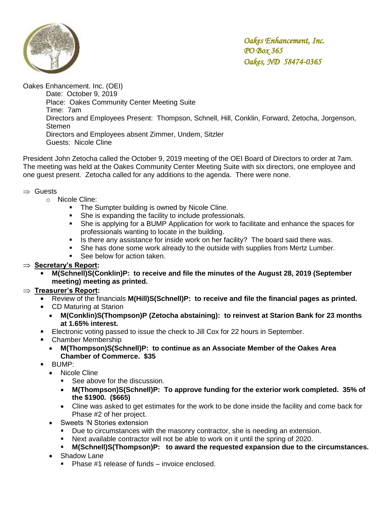

Oakes Enhancement. Inc. (OEI)

Date: October 9, 2019 Place: Oakes Community Center Meeting Suite Time: 7am Directors and Employees Present: Thompson, Schnell, Hill, Conklin, Forward, Zetocha, Jorgenson, Stemen Directors and Employees absent Zimmer, Undem, Sitzler Guests: Nicole Cline

President John Zetocha called the October 9, 2019 meeting of the OEI Board of Directors to order at 7am. The meeting was held at the Oakes Community Center Meeting Suite with six directors, one employee and one guest present. Zetocha called for any additions to the agenda. There were none.

### $\Rightarrow$  Guests

- o Nicole Cline:
	- **The Sumpter building is owned by Nicole Cline.**
	- She is expanding the facility to include professionals.
	- She is applying for a BUMP Application for work to facilitate and enhance the spaces for professionals wanting to locate in the building.
	- Is there any assistance for inside work on her facility? The board said there was.
	- She has done some work already to the outside with supplies from Mertz Lumber.
	- **See below for action taken.**

### ⇒ **Secretary's Report:**

 **M(Schnell)S(Conklin)P: to receive and file the minutes of the August 28, 2019 (September meeting) meeting as printed.** 

### **Treasurer's Report:**

- Review of the financials **M(Hill)S(Schnell)P: to receive and file the financial pages as printed.**
- CD Maturing at Starion
	- **M(Conklin)S(Thompson)P (Zetocha abstaining): to reinvest at Starion Bank for 23 months at 1.65% interest.**
- Electronic voting passed to issue the check to Jill Cox for 22 hours in September.
- Chamber Membership
	- **M(Thompson)S(Schnell)P: to continue as an Associate Member of the Oakes Area Chamber of Commerce. \$35**
- BUMP:
	- Nicole Cline
		- See above for the discussion.
		- **M(Thompson)S(Schnell)P: To approve funding for the exterior work completed. 35% of the \$1900. (\$665)**
		- Cline was asked to get estimates for the work to be done inside the facility and come back for Phase #2 of her project.
	- Sweets 'N Stories extension
		- **Due to circumstances with the masonry contractor, she is needing an extension.**
		- Next available contractor will not be able to work on it until the spring of 2020.
		- **M(Schnell)S(Thompson)P: to award the requested expansion due to the circumstances.**
	- Shadow Lane
		- **Phase #1 release of funds invoice enclosed.**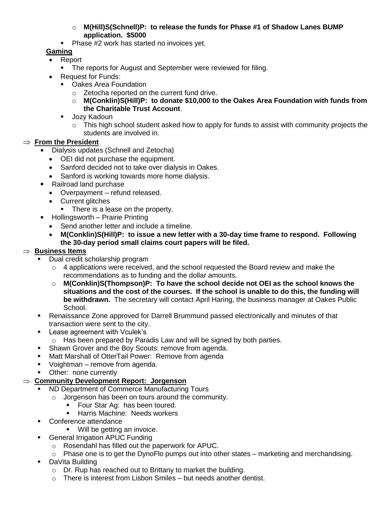- o **M(Hill)S(Schnell)P: to release the funds for Phase #1 of Shadow Lanes BUMP application. \$5000**
- **Phase #2 work has started no invoices yet.**

## **Gaming**

- Report
	- **The reports for August and September were reviewed for filing.**
- Request for Funds:
	- **•** Oakes Area Foundation
		- o Zetocha reported on the current fund drive.
		- o **M(Conklin)S(Hill)P: to donate \$10,000 to the Oakes Area Foundation with funds from the Charitable Trust Account**.
	- **Jozy Kadoun** 
		- $\circ$  This high school student asked how to apply for funds to assist with community projects the students are involved in.

### $\Rightarrow$  **From the President**

- Dialysis updates (Schnell and Zetocha)
	- OEI did not purchase the equipment.
	- Sanford decided not to take over dialysis in Oakes.
	- Sanford is working towards more home dialysis.
- Railroad land purchase
	- Overpayment refund released.
	- Current glitches
		- There is a lease on the property.
- Hollingsworth Prairie Printing
	- Send another letter and include a timeline.
	- **M(Conklin)S(Hill)P: to issue a new letter with a 30-day time frame to respond. Following the 30-day period small claims court papers will be filed.**

### **Business Items**

- Dual credit scholarship program
	- o 4 applications were received, and the school requested the Board review and make the recommendations as to funding and the dollar amounts.
	- o **M(Conklin)S(Thompson)P: To have the school decide not OEI as the school knows the situations and the cost of the courses. If the school is unable to do this, the funding will be withdrawn.** The secretary will contact April Haring, the business manager at Oakes Public School.
- Renaissance Zone approved for Darrell Brummund passed electronically and minutes of that transaction were sent to the city.
- **Lease agreement with Vculek's** 
	- o Has been prepared by Paradis Law and will be signed by both parties.
- **Shawn Grover and the Boy Scouts: remove from agenda.**
- **Matt Marshall of OtterTail Power: Remove from agenda**
- **Voightman** remove from agenda.
- **•** Other: none currently

## **Community Development Report: Jorgenson**

- ND Department of Commerce Manufacturing Tours
	- o Jorgenson has been on tours around the community.
		- **Four Star Ag: has been toured.**
		- **Harris Machine: Needs workers**
- **Conference attendance** 
	- **Will be getting an invoice.**
- **General Irrigation APUC Funding** 
	- o Rosendahl has filled out the paperwork for APUC.
	- o Phase one is to get the DynoFlo pumps out into other states marketing and merchandising.
- **DaVita Building** 
	- o Dr. Rup has reached out to Brittany to market the building.
	- $\circ$  There is interest from Lisbon Smiles but needs another dentist.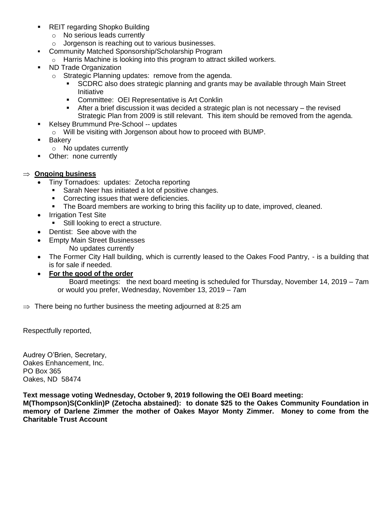- **REIT regarding Shopko Building** 
	- o No serious leads currently
	- o Jorgenson is reaching out to various businesses.
- **-** Community Matched Sponsorship/Scholarship Program
	- o Harris Machine is looking into this program to attract skilled workers.
- ND Trade Organization
	- o Strategic Planning updates: remove from the agenda.
		- SCDRC also does strategic planning and grants may be available through Main Street Initiative
		- **•** Committee: OEI Representative is Art Conklin
		- After a brief discussion it was decided a strategic plan is not necessary the revised Strategic Plan from 2009 is still relevant. This item should be removed from the agenda.
- Kelsey Brummund Pre-School -- updates
	- o Will be visiting with Jorgenson about how to proceed with BUMP.
- **Bakery** 
	- o No updates currently
- Other: none currently

#### **Ongoing business**

- Tiny Tornadoes: updates: Zetocha reporting
	- Sarah Neer has initiated a lot of positive changes.
	- Correcting issues that were deficiencies.
	- The Board members are working to bring this facility up to date, improved, cleaned.
- Irrigation Test Site
	- Still looking to erect a structure.
- Dentist: See above with the
- Empty Main Street Businesses No updates currently
- The Former City Hall building, which is currently leased to the Oakes Food Pantry, is a building that is for sale if needed.
- **For the good of the order**

Board meetings: the next board meeting is scheduled for Thursday, November 14, 2019 – 7am or would you prefer, Wednesday, November 13, 2019 – 7am

 $\Rightarrow$  There being no further business the meeting adjourned at 8:25 am

Respectfully reported,

Audrey O'Brien, Secretary, Oakes Enhancement, Inc. PO Box 365 Oakes, ND 58474

**Text message voting Wednesday, October 9, 2019 following the OEI Board meeting:**

**M(Thompson)S(Conklin)P (Zetocha abstained): to donate \$25 to the Oakes Community Foundation in memory of Darlene Zimmer the mother of Oakes Mayor Monty Zimmer. Money to come from the Charitable Trust Account**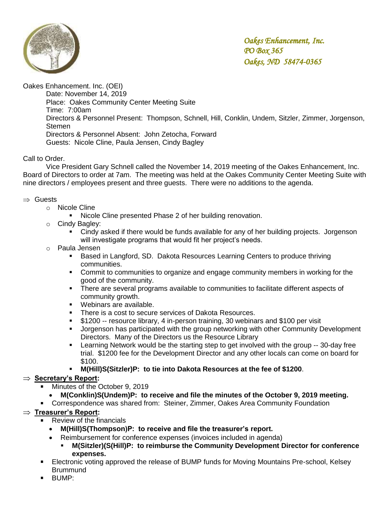

Oakes Enhancement. Inc. (OEI)

Date: November 14, 2019 Place: Oakes Community Center Meeting Suite Time: 7:00am Directors & Personnel Present: Thompson, Schnell, Hill, Conklin, Undem, Sitzler, Zimmer, Jorgenson, **Stemen** Directors & Personnel Absent: John Zetocha, Forward Guests: Nicole Cline, Paula Jensen, Cindy Bagley

### Call to Order.

Vice President Gary Schnell called the November 14, 2019 meeting of the Oakes Enhancement, Inc. Board of Directors to order at 7am. The meeting was held at the Oakes Community Center Meeting Suite with nine directors / employees present and three guests. There were no additions to the agenda.

#### $\Rightarrow$  Guests

- o Nicole Cline
	- Nicole Cline presented Phase 2 of her building renovation.
- o Cindy Bagley:
	- Cindy asked if there would be funds available for any of her building projects. Jorgenson will investigate programs that would fit her project's needs.
- o Paula Jensen
	- **Based in Langford, SD. Dakota Resources Learning Centers to produce thriving** communities.
	- **Commit to communities to organize and engage community members in working for the** good of the community.
	- There are several programs available to communities to facilitate different aspects of community growth.
	- **Webinars are available.**
	- There is a cost to secure services of Dakota Resources.
	- \$1200 -- resource library, 4 in-person training, 30 webinars and \$100 per visit
	- Jorgenson has participated with the group networking with other Community Development Directors. Many of the Directors us the Resource Library
	- Learning Network would be the starting step to get involved with the group -- 30-day free trial. \$1200 fee for the Development Director and any other locals can come on board for \$100.
	- **M(Hill)S(Sitzler)P: to tie into Dakota Resources at the fee of \$1200**.

### ⇒ **Secretary's Report:**

- Minutes of the October 9, 2019
- **M(Conklin)S(Undem)P: to receive and file the minutes of the October 9, 2019 meeting.**
- Correspondence was shared from: Steiner, Zimmer, Oakes Area Community Foundation

### **Treasurer's Report:**

- Review of the financials
- **M(Hill)S(Thompson)P: to receive and file the treasurer's report.**
- Reimbursement for conference expenses (invoices included in agenda)
	- **M(Sitzler)(S(Hill)P: to reimburse the Community Development Director for conference expenses.**
- Electronic voting approved the release of BUMP funds for Moving Mountains Pre-school, Kelsey **Brummund**
- BUMP: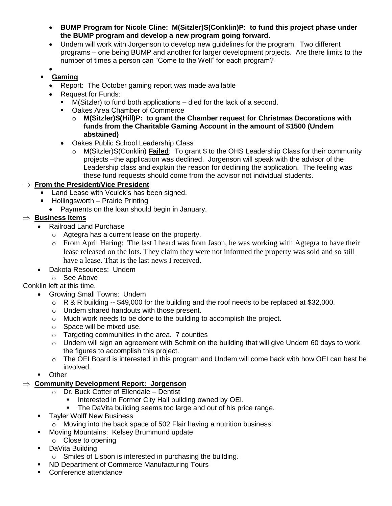- **BUMP Program for Nicole Cline: M(Sitzler)S(Conklin)P: to fund this project phase under the BUMP program and develop a new program going forward.**
- Undem will work with Jorgenson to develop new guidelines for the program. Two different programs – one being BUMP and another for larger development projects. Are there limits to the number of times a person can "Come to the Well" for each program?
- $\bullet$
- **Gaming**
	- Report: The October gaming report was made available
	- Request for Funds:
		- M(Sitzler) to fund both applications died for the lack of a second.
		- Oakes Area Chamber of Commerce
			- o **M(Sitzler)S(Hill)P: to grant the Chamber request for Christmas Decorations with funds from the Charitable Gaming Account in the amount of \$1500 (Undem abstained)**
		- Oakes Public School Leadership Class
			- M(Sitzler)S(Conklin) **Failed**: To grant \$ to the OHS Leadership Class for their community projects –the application was declined. Jorgenson will speak with the advisor of the Leadership class and explain the reason for declining the application. The feeling was these fund requests should come from the advisor not individual students.

### **From the President/Vice President**

- Land Lease with Vculek's has been signed.
- Hollingsworth Prairie Printing
	- Payments on the loan should begin in January.

## $\Rightarrow$  **Business Items**

- Railroad Land Purchase
	- o Agtegra has a current lease on the property.
	- o From April Haring: The last I heard was from Jason, he was working with Agtegra to have their lease released on the lots. They claim they were not informed the property was sold and so still have a lease. That is the last news I received.
- Dakota Resources: Undem
	- o See Above

### Conklin left at this time.

- Growing Small Towns: Undem
	- $\circ$  R & R building -- \$49,000 for the building and the roof needs to be replaced at \$32,000.
	- o Undem shared handouts with those present.
	- o Much work needs to be done to the building to accomplish the project.
	- o Space will be mixed use.
	- o Targeting communities in the area. 7 counties
	- $\circ$  Undem will sign an agreement with Schmit on the building that will give Undem 60 days to work the figures to accomplish this project.
	- o The OEI Board is interested in this program and Undem will come back with how OEI can best be involved.
	- Other

## **Community Development Report: Jorgenson**

- o Dr. Buck Cotter of Ellendale Dentist
	- Interested in Former City Hall building owned by OEI.
	- The DaVita building seems too large and out of his price range.
- **Tayler Wolff New Business** 
	- o Moving into the back space of 502 Flair having a nutrition business
- **Moving Mountains: Kelsey Brummund update**
- o Close to opening
- **-** DaVita Building
	- o Smiles of Lisbon is interested in purchasing the building.
- **ND Department of Commerce Manufacturing Tours**
- Conference attendance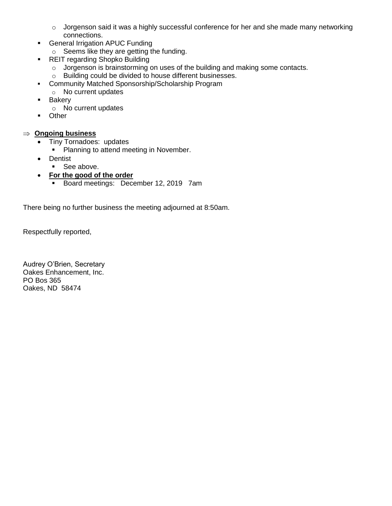- o Jorgenson said it was a highly successful conference for her and she made many networking connections.
- **General Irrigation APUC Funding** 
	- o Seems like they are getting the funding.
- **REIT regarding Shopko Building** 
	- o Jorgenson is brainstorming on uses of the building and making some contacts.
	- o Building could be divided to house different businesses.
- Community Matched Sponsorship/Scholarship Program
- o No current updates
- **Bakery** 
	- o No current updates
- **Other**

### **Ongoing business**

- Tiny Tornadoes: updates
	- **Planning to attend meeting in November.**
- Dentist
	- See above.
- **For the good of the order**
	- Board meetings: December 12, 2019 7am

There being no further business the meeting adjourned at 8:50am.

Respectfully reported,

Audrey O'Brien, Secretary Oakes Enhancement, Inc. PO Bos 365 Oakes, ND 58474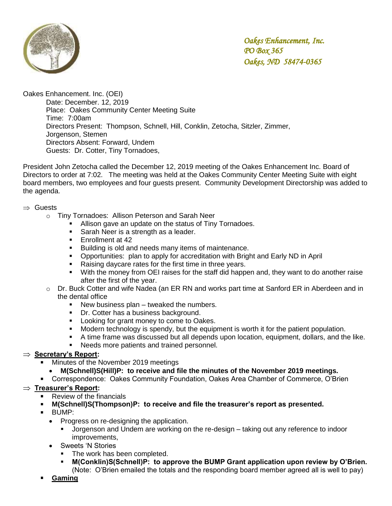

Oakes Enhancement. Inc. (OEI)

Date: December. 12, 2019 Place: Oakes Community Center Meeting Suite Time: 7:00am Directors Present: Thompson, Schnell, Hill, Conklin, Zetocha, Sitzler, Zimmer, Jorgenson, Stemen Directors Absent: Forward, Undem Guests: Dr. Cotter, Tiny Tornadoes,

President John Zetocha called the December 12, 2019 meeting of the Oakes Enhancement Inc. Board of Directors to order at 7:02. The meeting was held at the Oakes Community Center Meeting Suite with eight board members, two employees and four guests present. Community Development Directorship was added to the agenda.

#### $\Rightarrow$  Guests

- o Tiny Tornadoes: Allison Peterson and Sarah Neer
	- Allison gave an update on the status of Tiny Tornadoes.
	- Sarah Neer is a strength as a leader.
	- **Enrollment at 42**
	- **Building is old and needs many items of maintenance.**
	- Opportunities: plan to apply for accreditation with Bright and Early ND in April
	- Raising daycare rates for the first time in three years.
	- With the money from OEI raises for the staff did happen and, they want to do another raise after the first of the year.
- o Dr. Buck Cotter and wife Nadea (an ER RN and works part time at Sanford ER in Aberdeen and in the dental office
	- New business plan tweaked the numbers.
	- Dr. Cotter has a business background.
	- **Looking for grant money to come to Oakes.**
	- Modern technology is spendy, but the equipment is worth it for the patient population.
	- A time frame was discussed but all depends upon location, equipment, dollars, and the like.
	- **Needs more patients and trained personnel.**

#### ⇒ **Secretary's Report:**

- Minutes of the November 2019 meetings
	- **M(Schnell)S(Hill)P: to receive and file the minutes of the November 2019 meetings.**
- Correspondence: Oakes Community Foundation, Oakes Area Chamber of Commerce, O'Brien

### **Treasurer's Report:**

- Review of the financials
- **M(Schnell)S(Thompson)P: to receive and file the treasurer's report as presented.**
- BUMP:
	- Progress on re-designing the application.
		- Jorgenson and Undem are working on the re-design taking out any reference to indoor improvements,
	- Sweets 'N Stories
		- The work has been completed.
		- **M(Conklin)S(Schnell)P: to approve the BUMP Grant application upon review by O'Brien.** (Note: O'Brien emailed the totals and the responding board member agreed all is well to pay)
- **Gaming**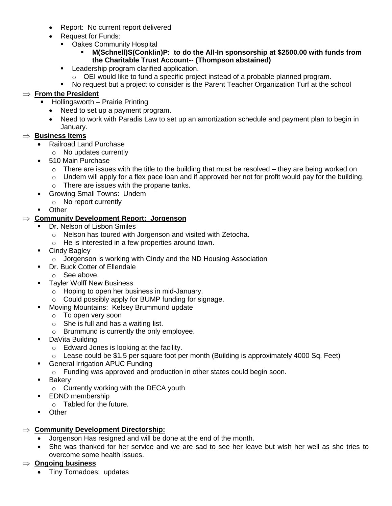- Report: No current report delivered
- Request for Funds:
	- Oakes Community Hospital

#### **M(Schnell)S(Conklin)P: to do the All-In sponsorship at \$2500.00 with funds from the Charitable Trust Account-- (Thompson abstained)**

- **Leadership program clarified application.** 
	- o OEI would like to fund a specific project instead of a probable planned program.
- No request but a project to consider is the Parent Teacher Organization Turf at the school

### $\Rightarrow$  From the President

- Hollingsworth Prairie Printing
- Need to set up a payment program.
- Need to work with Paradis Law to set up an amortization schedule and payment plan to begin in January.

### **Business Items**

- Railroad Land Purchase
	- o No updates currently
- 510 Main Purchase
	- $\circ$  There are issues with the title to the building that must be resolved they are being worked on
	- $\circ$  Undem will apply for a flex pace loan and if approved her not for profit would pay for the building.
	- o There are issues with the propane tanks.
- Growing Small Towns: Undem
	- o No report currently
- **D**ther

#### **Community Development Report: Jorgenson**

- Dr. Nelson of Lisbon Smiles
	- o Nelson has toured with Jorgenson and visited with Zetocha.
	- o He is interested in a few properties around town.
- **Cindy Bagley** 
	- o Jorgenson is working with Cindy and the ND Housing Association
- **Dr. Buck Cotter of Ellendale** 
	- o See above.
- **Tayler Wolff New Business** 
	- o Hoping to open her business in mid-January.
	- o Could possibly apply for BUMP funding for signage.
- **Moving Mountains: Kelsey Brummund update** 
	- o To open very soon
	- $\circ$  She is full and has a waiting list.
	- o Brummund is currently the only employee.
- **DaVita Building** 
	- o Edward Jones is looking at the facility.
	- $\circ$  Lease could be \$1.5 per square foot per month (Building is approximately 4000 Sq. Feet)
- **General Irrigation APUC Funding** 
	- o Funding was approved and production in other states could begin soon.
- **Bakery** 
	- o Currently working with the DECA youth
- **EDND** membership
	- o Tabled for the future.
- **Depart** of Other

### **Community Development Directorship:**

- Jorgenson Has resigned and will be done at the end of the month.
- She was thanked for her service and we are sad to see her leave but wish her well as she tries to overcome some health issues.

### **Ongoing business**

• Tiny Tornadoes: updates